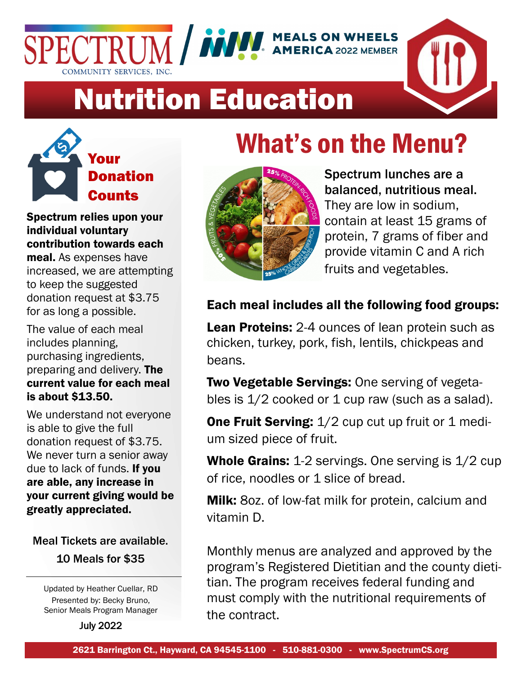



# Nutrition Education



Spectrum relies upon your individual voluntary contribution towards each

meal. As expenses have increased, we are attempting to keep the suggested donation request at \$3.75 for as long a possible.

The value of each meal includes planning, purchasing ingredients, preparing and delivery. The current value for each meal is about \$13.50.

We understand not everyone is able to give the full donation request of \$3.75. We never turn a senior away due to lack of funds. If you are able, any increase in your current giving would be greatly appreciated.

Meal Tickets are available. 10 Meals for \$35

Updated by Heather Cuellar, RD Presented by: Becky Bruno, Senior Meals Program Manager

July 2022

## What's on the Menu?



Spectrum lunches are a balanced, nutritious meal. They are low in sodium, contain at least 15 grams of protein, 7 grams of fiber and provide vitamin C and A rich fruits and vegetables.

## Each meal includes all the following food groups:

Lean Proteins: 2-4 ounces of lean protein such as chicken, turkey, pork, fish, lentils, chickpeas and beans.

Two Vegetable Servings: One serving of vegetables is  $1/2$  cooked or 1 cup raw (such as a salad).

**One Fruit Serving:** 1/2 cup cut up fruit or 1 medium sized piece of fruit.

Whole Grains: 1-2 servings. One serving is  $1/2$  cup of rice, noodles or 1 slice of bread.

**Milk:** 80z. of low-fat milk for protein, calcium and vitamin D.

Monthly menus are analyzed and approved by the program's Registered Dietitian and the county dietitian. The program receives federal funding and must comply with the nutritional requirements of the contract.